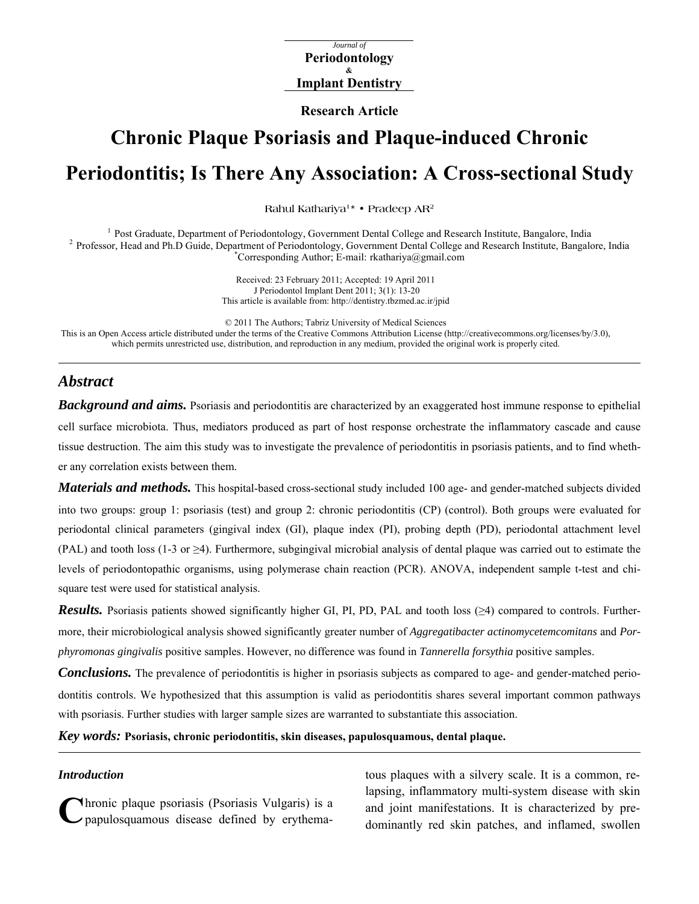*Journal of*  **Periodontology & Implant Dentistry**

**Research Article** 

# **Chronic Plaque Psoriasis and Plaque-induced Chronic Periodontitis; Is There Any Association: A Cross-sectional Study**

**Rahul Kathariya1\* • Pradeep AR2**

<sup>1</sup> Post Graduate, Department of Periodontology, Government Dental College and Research Institute, Bangalore, India<br><sup>2</sup> Professor, Head and Ph.D Guide, Department of Periodontology, Government Dental College and Research I Corresponding Author; E-mail: rkathariya@gmail.com

> Received: 23 February 2011; Accepted: 19 April 2011 J Periodontol Implant Dent 2011; 3(1): 13-20 This article is available from: http://dentistry.tbzmed.ac.ir/jpid

© 2011 The Authors; Tabriz University of Medical Sciences This is an Open Access article distributed under the terms of the Creative Commons Attribution License (http://creativecommons.org/licenses/by/3.0), which permits unrestricted use, distribution, and reproduction in any medium, provided the original work is properly cited.

# *Abstract*

*Background and aims.* Psoriasis and periodontitis are characterized by an exaggerated host immune response to epithelial cell surface microbiota. Thus, mediators produced as part of host response orchestrate the inflammatory cascade and cause tissue destruction. The aim this study was to investigate the prevalence of periodontitis in psoriasis patients, and to find whether any correlation exists between them.

*Materials and methods.* This hospital-based cross-sectional study included 100 age- and gender-matched subjects divided into two groups: group 1: psoriasis (test) and group 2: chronic periodontitis (CP) (control). Both groups were evaluated for periodontal clinical parameters (gingival index (GI), plaque index (PI), probing depth (PD), periodontal attachment level (PAL) and tooth loss (1-3 or  $\geq$ 4). Furthermore, subgingival microbial analysis of dental plaque was carried out to estimate the levels of periodontopathic organisms, using polymerase chain reaction (PCR). ANOVA, independent sample t-test and chisquare test were used for statistical analysis.

*Results.* Psoriasis patients showed significantly higher GI, PI, PD, PAL and tooth loss (≥4) compared to controls. Furthermore, their microbiological analysis showed significantly greater number of *Aggregatibacter actinomycetemcomitans* and *Porphyromonas gingivalis* positive samples. However, no difference was found in *Tannerella forsythia* positive samples.

*Conclusions.* The prevalence of periodontitis is higher in psoriasis subjects as compared to age- and gender-matched periodontitis controls. We hypothesized that this assumption is valid as periodontitis shares several important common pathways with psoriasis. Further studies with larger sample sizes are warranted to substantiate this association.

*Key words:* **Psoriasis, chronic periodontitis, skin diseases, papulosquamous, dental plaque.** 

#### *Introduction*

papulosquamous disease defined by erythema-

**C**hronic plaque psoriasis (Psoriasis Vulgaris) is a and joint manifestations. It is characterized by pre-<br>
dominantly red skin patches, and inflamed, swollen tous plaques with a silvery scale. It is a common, relapsing, inflammatory multi-system disease with skin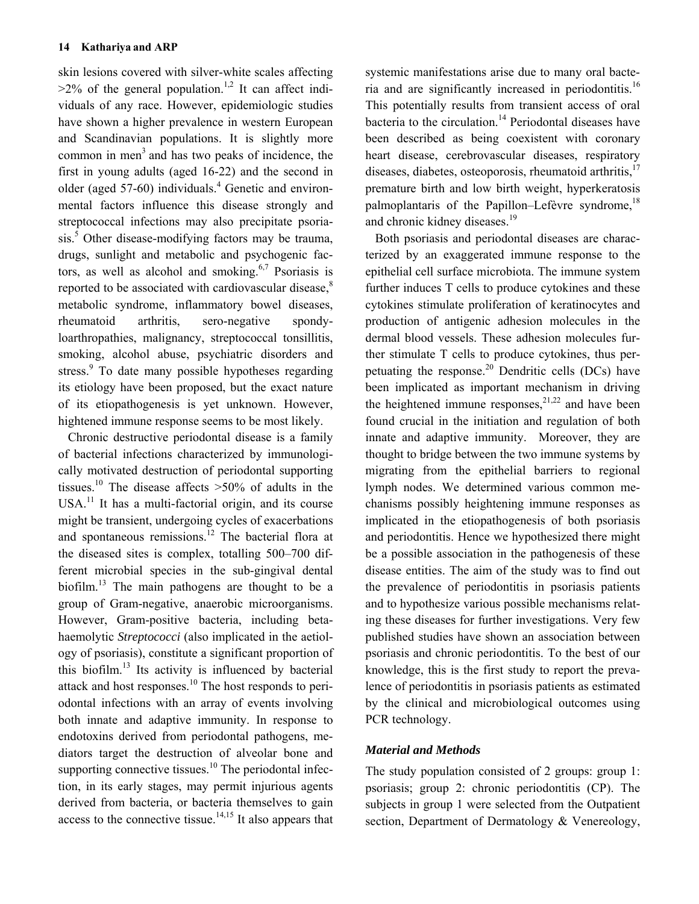skin lesions covered with silver-white scales affecting  $>2\%$  of the general population.<sup>1,2</sup> It can affect individuals of any race. However, epidemiologic studies have shown a higher prevalence in western European and Scandinavian populations. It is slightly more common in men<sup>3</sup> and has two peaks of incidence, the first in young adults (aged 16-22) and the second in older (aged 57-60) individuals.<sup>4</sup> Genetic and environmental factors influence this disease strongly and streptococcal infections may also precipitate psoriasis.<sup>5</sup> Other disease-modifying factors may be trauma, drugs, sunlight and metabolic and psychogenic factors, as well as alcohol and smoking.<sup>6,7</sup> Psoriasis is reported to be associated with cardiovascular disease, $8$ metabolic syndrome, inflammatory bowel diseases, rheumatoid arthritis, sero-negative spondyloarthropathies, malignancy, streptococcal tonsillitis, smoking, alcohol abuse, psychiatric disorders and stress.<sup>9</sup> To date many possible hypotheses regarding its etiology have been proposed, but the exact nature of its etiopathogenesis is yet unknown. However, hightened immune response seems to be most likely.

Chronic destructive periodontal disease is a family of bacterial infections characterized by immunologically motivated destruction of periodontal supporting tissues.<sup>10</sup> The disease affects  $>50\%$  of adults in the  $USA<sup>11</sup>$  It has a multi-factorial origin, and its course might be transient, undergoing cycles of exacerbations and spontaneous remissions.<sup>12</sup> The bacterial flora at the diseased sites is complex, totalling 500–700 different microbial species in the sub-gingival dental biofilm.<sup>13</sup> The main pathogens are thought to be a group of Gram-negative, anaerobic microorganisms. However, Gram-positive bacteria, including betahaemolytic *Streptococci* (also implicated in the aetiology of psoriasis), constitute a significant proportion of this biofilm.<sup>13</sup> Its activity is influenced by bacterial attack and host responses.<sup>10</sup> The host responds to periodontal infections with an array of events involving both innate and adaptive immunity. In response to endotoxins derived from periodontal pathogens, mediators target the destruction of alveolar bone and supporting connective tissues. $^{10}$  The periodontal infection, in its early stages, may permit injurious agents derived from bacteria, or bacteria themselves to gain access to the connective tissue.<sup>14,15</sup> It also appears that systemic manifestations arise due to many oral bacteria and are significantly increased in periodontitis.<sup>16</sup> This potentially results from transient access of oral bacteria to the circulation.<sup>14</sup> Periodontal diseases have been described as being coexistent with coronary heart disease, cerebrovascular diseases, respiratory diseases, diabetes, osteoporosis, rheumatoid arthritis, $17$ premature birth and low birth weight, hyperkeratosis palmoplantaris of the Papillon–Lefèvre syndrome, $^{18}$ and chronic kidney diseases.<sup>19</sup>

Both psoriasis and periodontal diseases are characterized by an exaggerated immune response to the epithelial cell surface microbiota. The immune system further induces T cells to produce cytokines and these cytokines stimulate proliferation of keratinocytes and production of antigenic adhesion molecules in the dermal blood vessels. These adhesion molecules further stimulate T cells to produce cytokines, thus perpetuating the response.<sup>20</sup> Dendritic cells (DCs) have been implicated as important mechanism in driving the heightened immune responses,<sup>21,22</sup> and have been found crucial in the initiation and regulation of both innate and adaptive immunity. Moreover, they are thought to bridge between the two immune systems by migrating from the epithelial barriers to regional lymph nodes. We determined various common mechanisms possibly heightening immune responses as implicated in the etiopathogenesis of both psoriasis and periodontitis. Hence we hypothesized there might be a possible association in the pathogenesis of these disease entities. The aim of the study was to find out the prevalence of periodontitis in psoriasis patients and to hypothesize various possible mechanisms relating these diseases for further investigations. Very few published studies have shown an association between psoriasis and chronic periodontitis. To the best of our knowledge, this is the first study to report the prevalence of periodontitis in psoriasis patients as estimated by the clinical and microbiological outcomes using PCR technology.

# *Material and Methods*

The study population consisted of 2 groups: group 1: psoriasis; group 2: chronic periodontitis (CP). The subjects in group 1 were selected from the Outpatient section, Department of Dermatology & Venereology,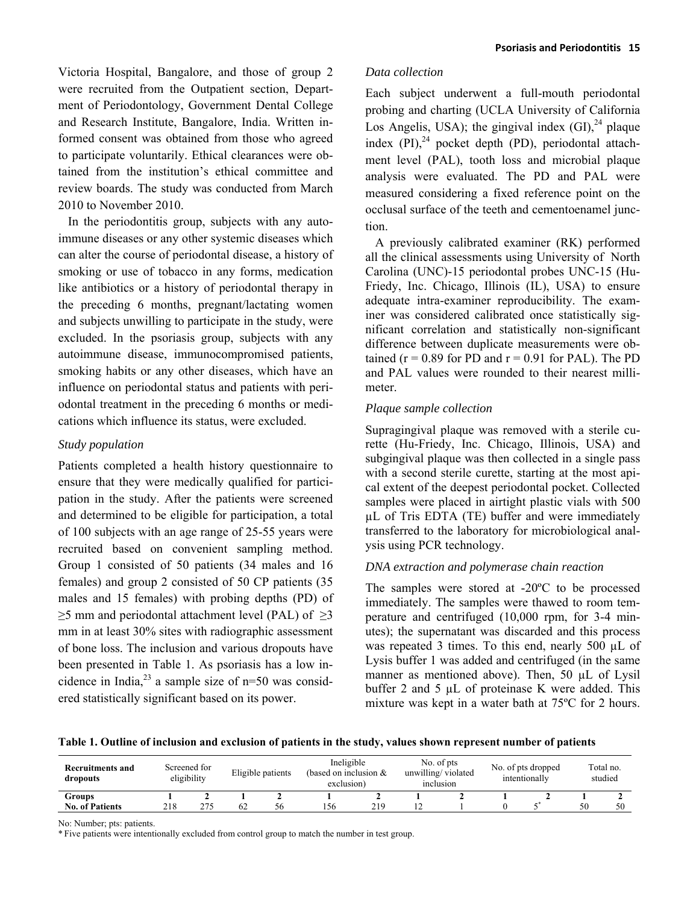Victoria Hospital, Bangalore, and those of group 2 were recruited from the Outpatient section, Department of Periodontology, Government Dental College and Research Institute, Bangalore, India. Written informed consent was obtained from those who agreed to participate voluntarily. Ethical clearances were obtained from the institution's ethical committee and review boards. The study was conducted from March 2010 to November 2010.

In the periodontitis group, subjects with any autoimmune diseases or any other systemic diseases which can alter the course of periodontal disease, a history of smoking or use of tobacco in any forms, medication like antibiotics or a history of periodontal therapy in the preceding 6 months, pregnant/lactating women and subjects unwilling to participate in the study, were excluded. In the psoriasis group, subjects with any autoimmune disease, immunocompromised patients, smoking habits or any other diseases, which have an influence on periodontal status and patients with periodontal treatment in the preceding 6 months or medications which influence its status, were excluded.

#### *Study population*

Patients completed a health history questionnaire to ensure that they were medically qualified for participation in the study. After the patients were screened and determined to be eligible for participation, a total of 100 subjects with an age range of 25-55 years were recruited based on convenient sampling method. Group 1 consisted of 50 patients (34 males and 16 females) and group 2 consisted of 50 CP patients (35 males and 15 females) with probing depths (PD) of  $\geq$ 5 mm and periodontal attachment level (PAL) of  $\geq$ 3 mm in at least 30% sites with radiographic assessment of bone loss. The inclusion and various dropouts have been presented in Table 1. As psoriasis has a low incidence in India, $^{23}$  a sample size of n=50 was considered statistically significant based on its power.

#### *Data collection*

Each subject underwent a full-mouth periodontal probing and charting (UCLA University of California Los Angelis, USA); the gingival index  $(GI)$ ,  $^{24}$  plaque index  $(PI)$ ,<sup>24</sup> pocket depth  $(PD)$ , periodontal attachment level (PAL), tooth loss and microbial plaque analysis were evaluated. The PD and PAL were measured considering a fixed reference point on the occlusal surface of the teeth and cementoenamel junction.

A previously calibrated examiner (RK) performed all the clinical assessments using University of North Carolina (UNC)-15 periodontal probes UNC-15 (Hu-Friedy, Inc. Chicago, Illinois (IL), USA) to ensure adequate intra-examiner reproducibility. The examiner was considered calibrated once statistically significant correlation and statistically non-significant difference between duplicate measurements were obtained ( $r = 0.89$  for PD and  $r = 0.91$  for PAL). The PD and PAL values were rounded to their nearest millimeter.

### *Plaque sample collection*

Supragingival plaque was removed with a sterile curette (Hu-Friedy, Inc. Chicago, Illinois, USA) and subgingival plaque was then collected in a single pass with a second sterile curette, starting at the most apical extent of the deepest periodontal pocket. Collected samples were placed in airtight plastic vials with 500 µL of Tris EDTA (TE) buffer and were immediately transferred to the laboratory for microbiological analysis using PCR technology.

### *DNA extraction and polymerase chain reaction*

The samples were stored at -20ºC to be processed immediately. The samples were thawed to room temperature and centrifuged (10,000 rpm, for 3-4 minutes); the supernatant was discarded and this process was repeated 3 times. To this end, nearly 500 µL of Lysis buffer 1 was added and centrifuged (in the same manner as mentioned above). Then, 50 µL of Lysil buffer 2 and 5 µL of proteinase K were added. This mixture was kept in a water bath at 75ºC for 2 hours.

**Table 1. Outline of inclusion and exclusion of patients in the study, values shown represent number of patients** 

| <b>Recruitments and</b><br>dropouts | Screened for<br>eligibility |     | Eligible patients |    | Ineligible<br>(based on inclusion $&$<br>exclusion) |     | No. of pts<br>unwilling/violated<br>inclusion |  | No. of pts dropped<br>intentionally |  | Total no.<br>studied |    |
|-------------------------------------|-----------------------------|-----|-------------------|----|-----------------------------------------------------|-----|-----------------------------------------------|--|-------------------------------------|--|----------------------|----|
| Groups                              |                             |     |                   |    |                                                     |     |                                               |  |                                     |  |                      |    |
| <b>No. of Patients</b>              | 218                         | 275 | 62                | 56 | 56                                                  | 219 |                                               |  |                                     |  | 50                   | 50 |

No: Number; pts: patients.

\* Five patients were intentionally excluded from control group to match the number in test group.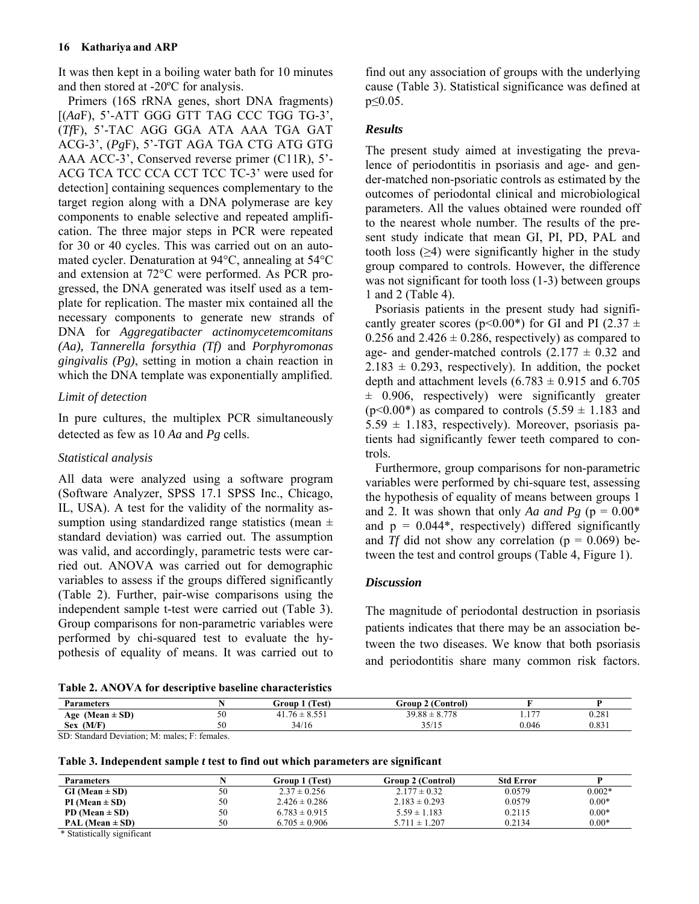It was then kept in a boiling water bath for 10 minutes and then stored at -20ºC for analysis.

Primers (16S rRNA genes, short DNA fragments) [(*Aa*F), 5'-ATT GGG GTT TAG CCC TGG TG-3', (*Tf*F), 5'-TAC AGG GGA ATA AAA TGA GAT ACG-3', (*Pg*F), 5'-TGT AGA TGA CTG ATG GTG AAA ACC-3', Conserved reverse primer (C11R), 5'- ACG TCA TCC CCA CCT TCC TC-3' were used for detection] containing sequences complementary to the target region along with a DNA polymerase are key components to enable selective and repeated amplification. The three major steps in PCR were repeated for 30 or 40 cycles. This was carried out on an automated cycler. Denaturation at 94°C, annealing at 54°C and extension at 72°C were performed. As PCR progressed, the DNA generated was itself used as a template for replication. The master mix contained all the necessary components to generate new strands of DNA for *Aggregatibacter actinomycetemcomitans (Aa), Tannerella forsythia (Tf)* and *Porphyromonas gingivalis (Pg)*, setting in motion a chain reaction in which the DNA template was exponentially amplified.

# *Limit of detection*

In pure cultures, the multiplex PCR simultaneously detected as few as 10 *Aa* and *Pg* cells.

# *Statistical analysis*

All data were analyzed using a software program (Software Analyzer, SPSS 17.1 SPSS Inc., Chicago, IL, USA). A test for the validity of the normality assumption using standardized range statistics (mean  $\pm$ standard deviation) was carried out. The assumption was valid, and accordingly, parametric tests were carried out. ANOVA was carried out for demographic variables to assess if the groups differed significantly (Table 2). Further, pair-wise comparisons using the independent sample t-test were carried out (Table 3). Group comparisons for non-parametric variables were performed by chi-squared test to evaluate the hypothesis of equality of means. It was carried out to

find out any association of groups with the underlying cause (Table 3). Statistical significance was defined at p≤0.05.

# *Results*

The present study aimed at investigating the prevalence of periodontitis in psoriasis and age- and gender-matched non-psoriatic controls as estimated by the outcomes of periodontal clinical and microbiological parameters. All the values obtained were rounded off to the nearest whole number. The results of the present study indicate that mean GI, PI, PD, PAL and tooth loss  $(\geq 4)$  were significantly higher in the study group compared to controls. However, the difference was not significant for tooth loss (1-3) between groups 1 and 2 (Table 4).

Psoriasis patients in the present study had significantly greater scores ( $p$ <0.00<sup>\*</sup>) for GI and PI (2.37  $\pm$ 0.256 and  $2.426 \pm 0.286$ , respectively) as compared to age- and gender-matched controls  $(2.177 \pm 0.32$  and  $2.183 \pm 0.293$ , respectively). In addition, the pocket depth and attachment levels  $(6.783 \pm 0.915$  and  $6.705$  $\pm$  0.906, respectively) were significantly greater  $(p<0.00^*)$  as compared to controls  $(5.59 \pm 1.183$  and  $5.59 \pm 1.183$ , respectively). Moreover, psoriasis patients had significantly fewer teeth compared to controls.

Furthermore, group comparisons for non-parametric variables were performed by chi-square test, assessing the hypothesis of equality of means between groups 1 and 2. It was shown that only *Aa and Pg* ( $p = 0.00*$ and  $p = 0.044$ <sup>\*</sup>, respectively) differed significantly and *Tf* did not show any correlation ( $p = 0.069$ ) between the test and control groups (Table 4, Figure 1).

# *Discussion*

The magnitude of periodontal destruction in psoriasis patients indicates that there may be an association between the two diseases. We know that both psoriasis and periodontitis share many common risk factors.

| <b>Parameters</b>                          |    | 1 (Test)<br>Group          | <b>Group 2 (Control)</b> |                               |       |
|--------------------------------------------|----|----------------------------|--------------------------|-------------------------------|-------|
| Age (Mean $\pm$ SD)                        | ◡◡ | $.76 \pm 8.551$<br>- 41. . | $39.88 \pm 8.778$        | $\cdot$ $\sim$ $\sim$<br>1.11 | 0.281 |
| . $(M/F)$<br><b>Sex</b>                    |    | 34/16                      | 25/15<br>ر د در          | 0.046                         | 0.831 |
| $\sim$ $\sim$<br>$\sim$<br>$\cdot$ $\cdot$ |    |                            |                          |                               |       |

SD: Standard Deviation; M: males; F: females.

**Table 3. Independent sample** *t* **test to find out which parameters are significant** 

| <b>Parameters</b>   |    | Group 1 (Test)    | Group 2 (Control) | <b>Std Error</b> |          |
|---------------------|----|-------------------|-------------------|------------------|----------|
| $GI (Mean \pm SD)$  | 50 | $2.37 \pm 0.256$  | $2.177 \pm 0.32$  | 0.0579           | $0.002*$ |
| $PI (Mean \pm SD)$  | 50 | $2.426 \pm 0.286$ | $2.183 \pm 0.293$ | 0.0579           | $0.00*$  |
| PD (Mean $\pm$ SD)  | 50 | $6.783 \pm 0.915$ | $5.59 \pm 1.183$  | 0.2115           | $0.00*$  |
| PAL (Mean $\pm$ SD) | 50 | $6.705 \pm 0.906$ | $5.711 \pm 1.207$ | 0.2134           | $0.00*$  |

\* Statistically significant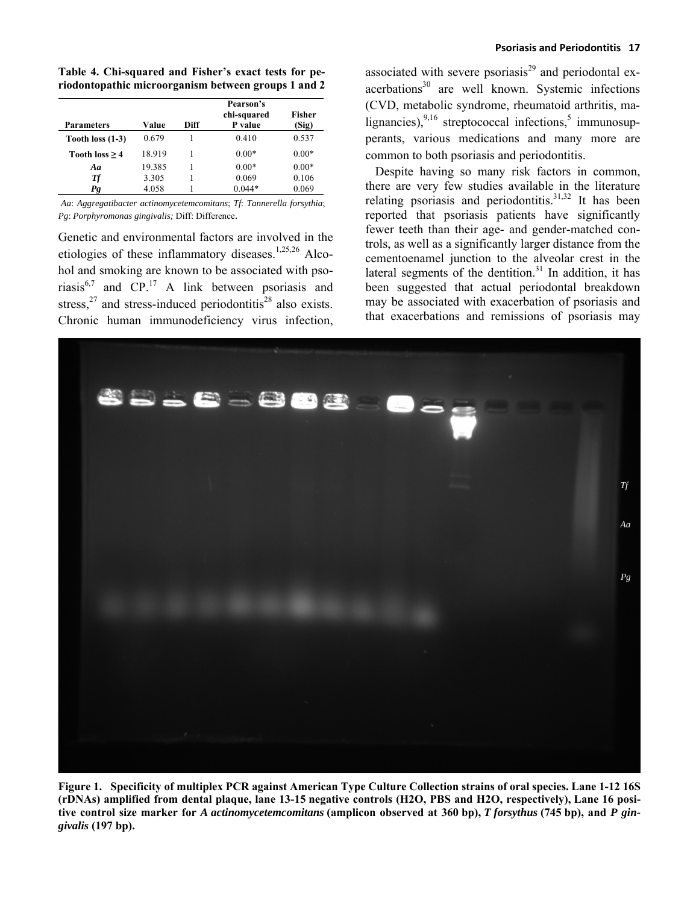**Table 4. Chi-squared and Fisher's exact tests for periodontopathic microorganism between groups 1 and 2** 

| <b>Parameters</b>  | Value  | Diff | Pearson's<br>chi-squared<br>P value | <b>Fisher</b><br>(Sig) |
|--------------------|--------|------|-------------------------------------|------------------------|
| Tooth loss $(1-3)$ | 0.679  |      | 0.410                               | 0.537                  |
| Tooth $loss > 4$   | 18.919 |      | $0.00*$                             | $0.00*$                |
| Aa                 | 19.385 |      | $0.00*$                             | $0.00*$                |
| Тf                 | 3.305  |      | 0.069                               | 0.106                  |
| Pg                 | 4.058  |      | $0.044*$                            | 0.069                  |

*Aa*: *Aggregatibacter actinomycetemcomitans*; *Tf*: *Tannerella forsythia*; *Pg*: *Porphyromonas gingivalis;* Diff: Difference.

Genetic and environmental factors are involved in the etiologies of these inflammatory diseases.<sup>1,25,26</sup> Alcohol and smoking are known to be associated with psoriasis $^{6,7}$  and CP.<sup>17</sup> A link between psoriasis and stress, $27$  and stress-induced periodontitis $28$  also exists. Chronic human immunodeficiency virus infection, associated with severe psoriasis $^{29}$  and periodontal exacerbations<sup>30</sup> are well known. Systemic infections (CVD, metabolic syndrome, rheumatoid arthritis, malignancies),  $9,16$  streptococcal infections, mmunosupperants, various medications and many more are common to both psoriasis and periodontitis.

Despite having so many risk factors in common, there are very few studies available in the literature relating psoriasis and periodontitis.<sup>31,32</sup> It has been reported that psoriasis patients have significantly fewer teeth than their age- and gender-matched controls, as well as a significantly larger distance from the cementoenamel junction to the alveolar crest in the lateral segments of the dentition.<sup>31</sup> In addition, it has been suggested that actual periodontal breakdown may be associated with exacerbation of psoriasis and that exacerbations and remissions of psoriasis may



**Figure 1. Specificity of multiplex PCR against American Type Culture Collection strains of oral species. Lane 1-12 16S (rDNAs) amplified from dental plaque, lane 13-15 negative controls (H2O, PBS and H2O, respectively), Lane 16 positive control size marker for** *A actinomycetemcomitans* **(amplicon observed at 360 bp),** *T forsythus* **(745 bp), and** *P gingivalis* **(197 bp).**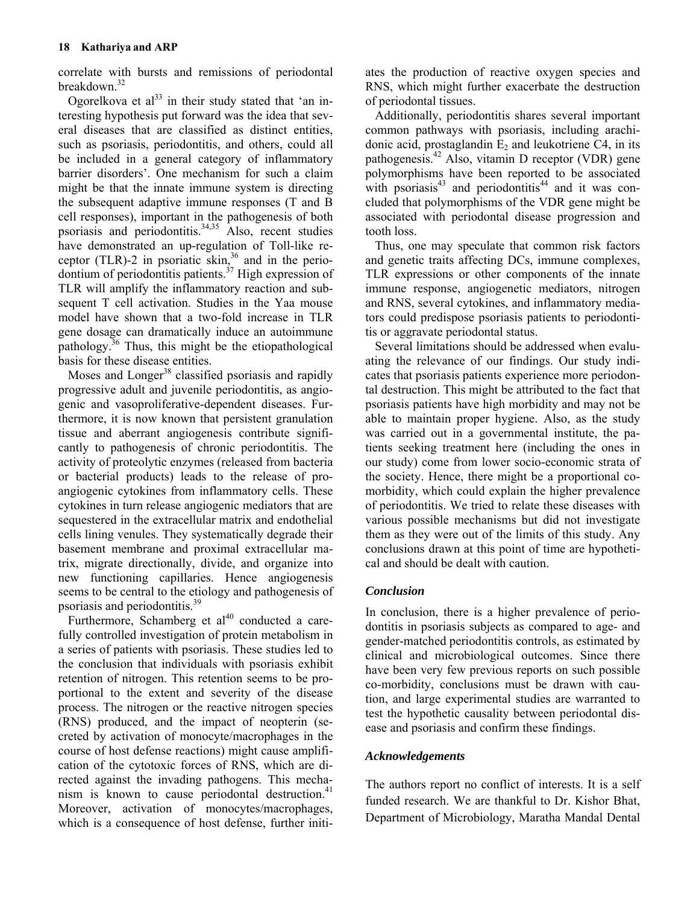correlate with bursts and remissions of periodontal breakdown.<sup>32</sup>

Ogorelkova et al<sup>33</sup> in their study stated that 'an interesting hypothesis put forward was the idea that several diseases that are classified as distinct entities, such as psoriasis, periodontitis, and others, could all be included in a general category of inflammatory barrier disorders'. One mechanism for such a claim might be that the innate immune system is directing the subsequent adaptive immune responses (T and B cell responses), important in the pathogenesis of both psoriasis and periodontitis.<sup>34,35</sup> Also, recent studies have demonstrated an up-regulation of Toll-like receptor (TLR)-2 in psoriatic skin, $36$  and in the periodontium of periodontitis patients.<sup>37</sup> High expression of TLR will amplify the inflammatory reaction and subsequent T cell activation. Studies in the Yaa mouse model have shown that a two-fold increase in TLR gene dosage can dramatically induce an autoimmune pathology.<sup>36</sup> Thus, this might be the etiopathological basis for these disease entities.

Moses and Longer<sup>38</sup> classified psoriasis and rapidly progressive adult and juvenile periodontitis, as angiogenic and vasoproliferative-dependent diseases. Furthermore, it is now known that persistent granulation tissue and aberrant angiogenesis contribute significantly to pathogenesis of chronic periodontitis. The activity of proteolytic enzymes (released from bacteria or bacterial products) leads to the release of proangiogenic cytokines from inflammatory cells. These cytokines in turn release angiogenic mediators that are sequestered in the extracellular matrix and endothelial cells lining venules. They systematically degrade their basement membrane and proximal extracellular matrix, migrate directionally, divide, and organize into new functioning capillaries. Hence angiogenesis seems to be central to the etiology and pathogenesis of psoriasis and periodontitis.<sup>39</sup>

Furthermore, Schamberg et  $al^{40}$  conducted a carefully controlled investigation of protein metabolism in a series of patients with psoriasis. These studies led to the conclusion that individuals with psoriasis exhibit retention of nitrogen. This retention seems to be proportional to the extent and severity of the disease process. The nitrogen or the reactive nitrogen species (RNS) produced, and the impact of neopterin (secreted by activation of monocyte/macrophages in the course of host defense reactions) might cause amplification of the cytotoxic forces of RNS, which are directed against the invading pathogens. This mechanism is known to cause periodontal destruction. $41$ Moreover, activation of monocytes/macrophages, which is a consequence of host defense, further initi-

ates the production of reactive oxygen species and RNS, which might further exacerbate the destruction of periodontal tissues.

Additionally, periodontitis shares several important common pathways with psoriasis, including arachidonic acid, prostaglandin  $E_2$  and leukotriene C4, in its pathogenesis.42 Also, vitamin D receptor (VDR) gene polymorphisms have been reported to be associated with psoriasis $43$  and periodontitis $44$  and it was concluded that polymorphisms of the VDR gene might be associated with periodontal disease progression and tooth loss.

Thus, one may speculate that common risk factors and genetic traits affecting DCs, immune complexes, TLR expressions or other components of the innate immune response, angiogenetic mediators, nitrogen and RNS, several cytokines, and inflammatory mediators could predispose psoriasis patients to periodontitis or aggravate periodontal status.

Several limitations should be addressed when evaluating the relevance of our findings. Our study indicates that psoriasis patients experience more periodontal destruction. This might be attributed to the fact that psoriasis patients have high morbidity and may not be able to maintain proper hygiene. Also, as the study was carried out in a governmental institute, the patients seeking treatment here (including the ones in our study) come from lower socio-economic strata of the society. Hence, there might be a proportional comorbidity, which could explain the higher prevalence of periodontitis. We tried to relate these diseases with various possible mechanisms but did not investigate them as they were out of the limits of this study. Any conclusions drawn at this point of time are hypothetical and should be dealt with caution.

# *Conclusion*

In conclusion, there is a higher prevalence of periodontitis in psoriasis subjects as compared to age- and gender-matched periodontitis controls, as estimated by clinical and microbiological outcomes. Since there have been very few previous reports on such possible co-morbidity, conclusions must be drawn with caution, and large experimental studies are warranted to test the hypothetic causality between periodontal disease and psoriasis and confirm these findings.

### *Acknowledgements*

The authors report no conflict of interests. It is a self funded research. We are thankful to Dr. Kishor Bhat, Department of Microbiology, Maratha Mandal Dental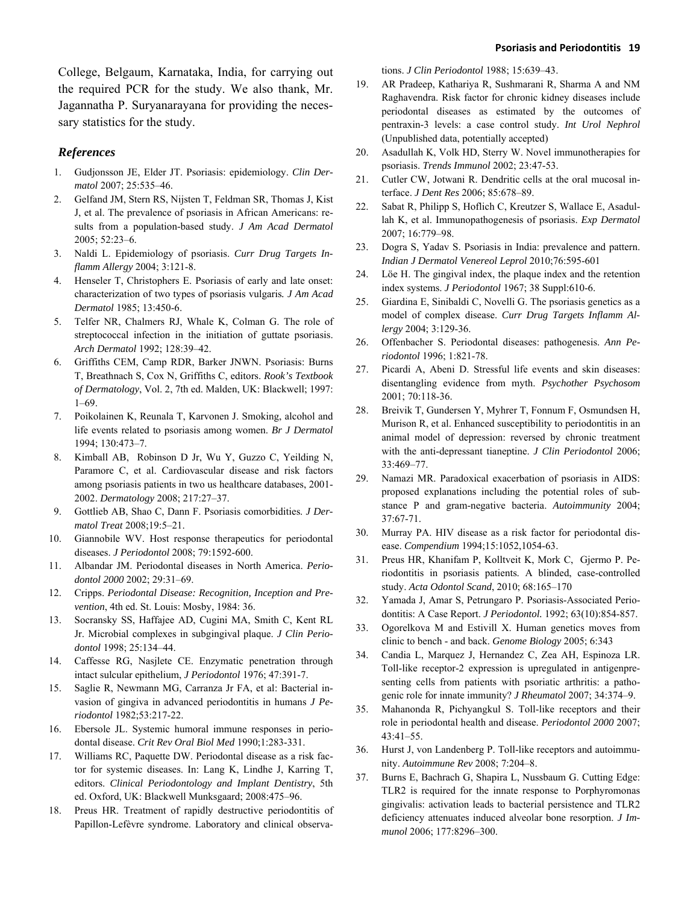College, Belgaum, Karnataka, India, for carrying out the required PCR for the study. We also thank, Mr. Jagannatha P. Suryanarayana for providing the necessary statistics for the study.

#### *References*

- 1. Gudjonsson JE, Elder JT. Psoriasis: epidemiology. *Clin Dermatol* 2007; 25:535–46.
- 2. Gelfand JM, Stern RS, Nijsten T, Feldman SR, Thomas J, Kist J, et al. The prevalence of psoriasis in African Americans: results from a population-based study. *J Am Acad Dermatol*  2005; 52:23–6.
- 3. Naldi L. Epidemiology of psoriasis. *Curr Drug Targets Inflamm Allergy* 2004; 3:121-8.
- 4. Henseler T, Christophers E. Psoriasis of early and late onset: characterization of two types of psoriasis vulgaris*. J Am Acad Dermatol* 1985; 13:450-6.
- 5. Telfer NR, Chalmers RJ, Whale K, Colman G. The role of streptococcal infection in the initiation of guttate psoriasis. *Arch Dermatol* 1992; 128:39–42.
- 6. Griffiths CEM, Camp RDR, Barker JNWN. Psoriasis: Burns T, Breathnach S, Cox N, Griffiths C, editors. *Rook's Textbook of Dermatology*, Vol. 2, 7th ed. Malden, UK: Blackwell; 1997: 1–69.
- 7. Poikolainen K, Reunala T, Karvonen J. Smoking, alcohol and life events related to psoriasis among women. *Br J Dermatol* 1994; 130:473–7.
- 8. Kimball AB, Robinson D Jr, Wu Y, Guzzo C, Yeilding N, Paramore C, et al. Cardiovascular disease and risk factors among psoriasis patients in two us healthcare databases, 2001- 2002. *Dermatology* 2008; 217:27–37.
- 9. Gottlieb AB, Shao C, Dann F. Psoriasis comorbidities. *J Dermatol Treat* 2008;19:5–21.
- 10. Giannobile WV. Host response therapeutics for periodontal diseases. *J Periodontol* 2008; 79:1592-600.
- 11. Albandar JM. Periodontal diseases in North America. *Periodontol 2000* 2002; 29:31–69.
- 12. Cripps. *Periodontal Disease: Recognition, Inception and Prevention*, 4th ed. St. Louis: Mosby, 1984: 36.
- 13. Socransky SS, Haffajee AD, Cugini MA, Smith C, Kent RL Jr. Microbial complexes in subgingival plaque. *J Clin Periodontol* 1998; 25:134–44.
- 14. Caffesse RG, Nasjlete CE. Enzymatic penetration through intact sulcular epithelium, *J Periodontol* 1976; 47:391-7.
- 15. Saglie R, Newmann MG, Carranza Jr FA, et al: Bacterial invasion of gingiva in advanced periodontitis in humans *J Periodontol* 1982;53:217-22.
- 16. Ebersole JL. Systemic humoral immune responses in periodontal disease. *Crit Rev Oral Biol Med* 1990;1:283-331.
- 17. Williams RC, Paquette DW. Periodontal disease as a risk factor for systemic diseases. In: Lang K, Lindhe J, Karring T, editors. *Clinical Periodontology and Implant Dentistry*, 5th ed. Oxford, UK: Blackwell Munksgaard; 2008:475–96.
- 18. Preus HR. Treatment of rapidly destructive periodontitis of Papillon-Lefèvre syndrome. Laboratory and clinical observa-

tions. *J Clin Periodontol* 1988; 15:639–43.

- 19. AR Pradeep, Kathariya R, Sushmarani R, Sharma A and NM Raghavendra. Risk factor for chronic kidney diseases include periodontal diseases as estimated by the outcomes of pentraxin-3 levels: a case control study. *Int Urol Nephrol*  (Unpublished data, potentially accepted)
- 20. Asadullah K, Volk HD, Sterry W. Novel immunotherapies for psoriasis. *Trends Immunol* 2002; 23:47-53.
- 21. Cutler CW, Jotwani R. Dendritic cells at the oral mucosal interface. *J Dent Res* 2006; 85:678–89.
- 22. Sabat R, Philipp S, Hoflich C, Kreutzer S, Wallace E, Asadullah K, et al. Immunopathogenesis of psoriasis. *Exp Dermatol* 2007; 16:779–98.
- 23. Dogra S, Yadav S. Psoriasis in India: prevalence and pattern. *Indian J Dermatol Venereol Leprol* 2010;76:595-601
- 24. [Löe H.](http://www.ncbi.nlm.nih.gov/pubmed?term=%22L%C3%B6e%20H%22%5BAuthor%5D) The gingival index, the plaque index and the retention index systems. *J Periodontol* 1967; 38 Suppl:610-6.
- 25. Giardina E, Sinibaldi C, Novelli G. The psoriasis genetics as a model of complex disease. *Curr Drug Targets Inflamm Allergy* 2004; 3:129-36.
- 26. Offenbacher S. Periodontal diseases: pathogenesis. *Ann Periodontol* 1996; 1:821-78.
- 27. Picardi A, Abeni D. Stressful life events and skin diseases: disentangling evidence from myth. *Psychother Psychosom* 2001; 70:118-36.
- 28. Breivik T, Gundersen Y, Myhrer T, Fonnum F, Osmundsen H, Murison R, et al. Enhanced susceptibility to periodontitis in an animal model of depression: reversed by chronic treatment with the anti-depressant tianeptine. *J Clin Periodontol* 2006; 33:469–77.
- 29. Namazi MR. Paradoxical exacerbation of psoriasis in AIDS: proposed explanations including the potential roles of substance P and gram-negative bacteria. *Autoimmunity* 2004; 37:67-71.
- 30. [Murray PA](http://www.ncbi.nlm.nih.gov/pubmed?term=%22Murray%20PA%22%5BAuthor%5D). HIV disease as a risk factor for periodontal disease. *[Compendium](javascript:AL_get(this,%20)* 1994;15:1052,1054-63.
- 31. Preus HR, Khanifam P, Kolltveit K, Mork C, Gjermo P. Periodontitis in psoriasis patients. A blinded, case-controlled study. *Acta Odontol Scand*, 2010; 68:165–170
- 32. Yamada J, Amar S, Petrungaro P. Psoriasis-Associated Periodontitis: A Case Report. *J Periodontol.* 1992; 63(10):854-857.
- 33. Ogorelkova M and Estivill X. Human genetics moves from clinic to bench - and back. *Genome Biology* 2005; 6:343
- 34. Candia L, Marquez J, Hernandez C, Zea AH, Espinoza LR. Toll-like receptor-2 expression is upregulated in antigenpresenting cells from patients with psoriatic arthritis: a pathogenic role for innate immunity? *J Rheumatol* 2007; 34:374–9.
- 35. Mahanonda R, Pichyangkul S. Toll-like receptors and their role in periodontal health and disease. *Periodontol 2000* 2007; 43:41–55.
- 36. Hurst J, von Landenberg P. Toll-like receptors and autoimmunity. *Autoimmune Rev* 2008; 7:204–8.
- 37. Burns E, Bachrach G, Shapira L, Nussbaum G. Cutting Edge: TLR2 is required for the innate response to Porphyromonas gingivalis: activation leads to bacterial persistence and TLR2 deficiency attenuates induced alveolar bone resorption. *J Immunol* 2006; 177:8296–300.